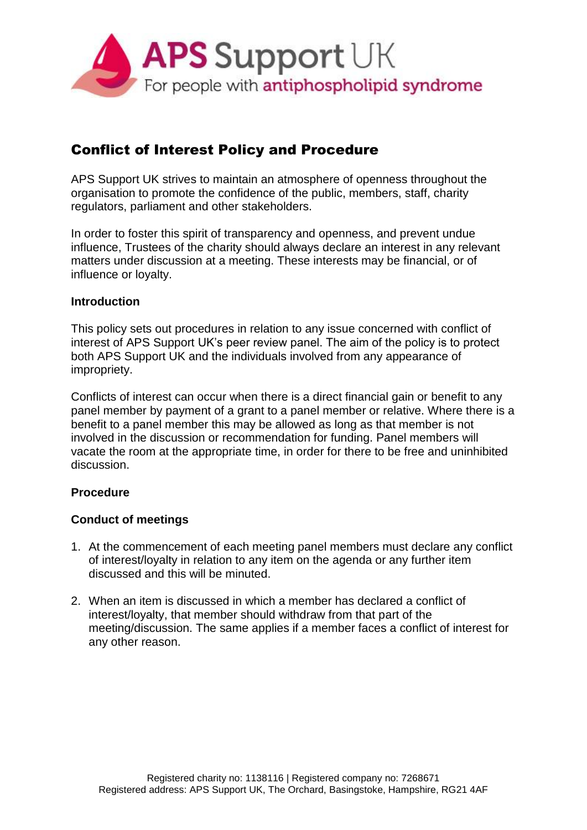

# Conflict of Interest Policy and Procedure

APS Support UK strives to maintain an atmosphere of openness throughout the organisation to promote the confidence of the public, members, staff, charity regulators, parliament and other stakeholders.

In order to foster this spirit of transparency and openness, and prevent undue influence, Trustees of the charity should always declare an interest in any relevant matters under discussion at a meeting. These interests may be financial, or of influence or loyalty.

### **Introduction**

This policy sets out procedures in relation to any issue concerned with conflict of interest of APS Support UK's peer review panel. The aim of the policy is to protect both APS Support UK and the individuals involved from any appearance of impropriety.

Conflicts of interest can occur when there is a direct financial gain or benefit to any panel member by payment of a grant to a panel member or relative. Where there is a benefit to a panel member this may be allowed as long as that member is not involved in the discussion or recommendation for funding. Panel members will vacate the room at the appropriate time, in order for there to be free and uninhibited discussion.

### **Procedure**

### **Conduct of meetings**

- 1. At the commencement of each meeting panel members must declare any conflict of interest/loyalty in relation to any item on the agenda or any further item discussed and this will be minuted.
- 2. When an item is discussed in which a member has declared a conflict of interest/loyalty, that member should withdraw from that part of the meeting/discussion. The same applies if a member faces a conflict of interest for any other reason.